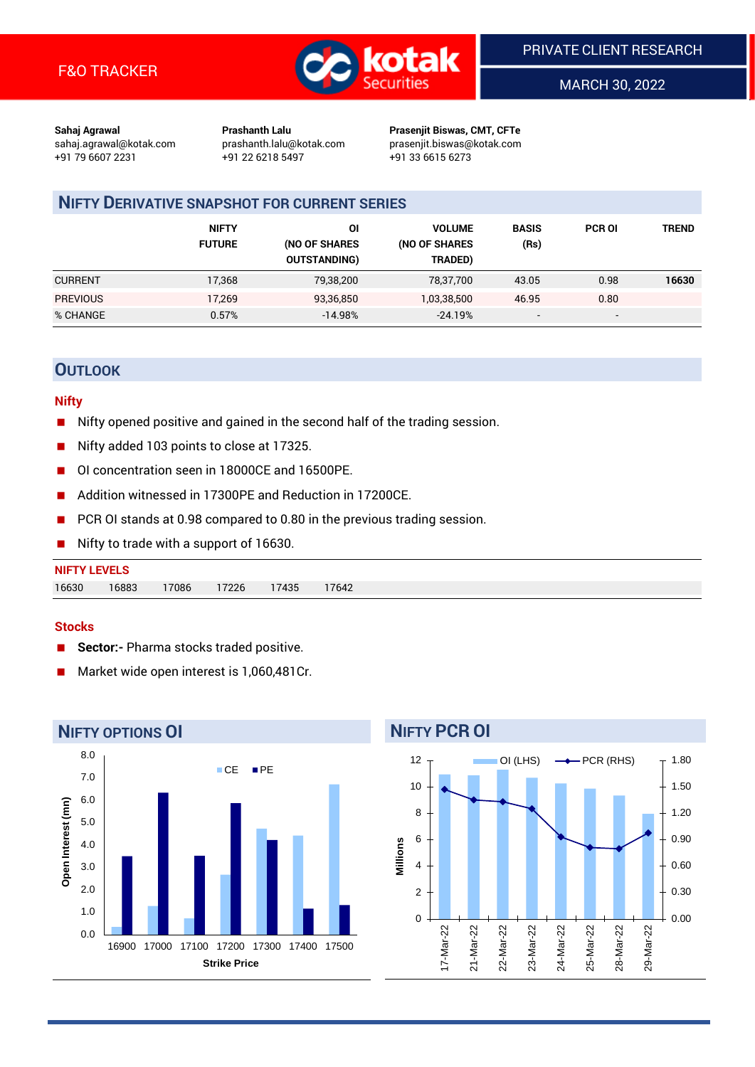

MARCH 30, 2022

**Sahaj Agrawal Prashanth Lalu Prasenjit Biswas, CMT, CFTe** +91 79 6607 2231 +91 22 6218 5497 +91 33 6615 6273

sahaj.agrawal@kotak.com [prashanth.lalu@kotak.com](mailto:prashanth.lalu@kotak.com) prasenjit.biswas@kotak.com

## **NIFTY DERIVATIVE SNAPSHOT FOR CURRENT SERIES**

|                 | <b>NIFTY</b><br><b>FUTURE</b> | ΟI<br>(NO OF SHARES<br><b>OUTSTANDING)</b> | <b>VOLUME</b><br>(NO OF SHARES<br>TRADED) | <b>BASIS</b><br>(Rs)     | <b>PCR OI</b> | <b>TREND</b> |
|-----------------|-------------------------------|--------------------------------------------|-------------------------------------------|--------------------------|---------------|--------------|
| <b>CURRENT</b>  | 17,368                        | 79,38,200                                  | 78,37,700                                 | 43.05                    | 0.98          | 16630        |
| <b>PREVIOUS</b> | 17,269                        | 93,36,850                                  | 1,03,38,500                               | 46.95                    | 0.80          |              |
| % CHANGE        | 0.57%                         | $-14.98%$                                  | $-24.19%$                                 | $\overline{\phantom{0}}$ | -             |              |

## **OUTLOOK**

## **Nifty**

- Nifty opened positive and gained in the second half of the trading session.
- Nifty added 103 points to close at 17325.
- OI concentration seen in 18000CE and 16500PE.
- Addition witnessed in 17300PE and Reduction in 17200CE.
- PCR OI stands at 0.98 compared to 0.80 in the previous trading session.
- Nifty to trade with a support of 16630.

## **NIFTY LEVELS** 16630 16883 17086 17226 17435 17642

## **Stocks**

- **Sector:-** Pharma stocks traded positive.
- Market wide open interest is 1,060,481Cr.



#### **NIFTY PCR OI** 12 OI (LHS)  $\longrightarrow$  PCR (RHS) 1.80 10 1.50 8 1.20 6 0.90 **Millions** 4 0.60 2 0.30  $\Omega$ 0.00 l7-Mar-22 21-Mar-22 22-Mar-22 23-Mar-22 24-Mar-22 25-Mar-22 28-Mar-22 29-Mar-22 17-Mar-22 21-Mar-22 22-Mar-22 23-Mar-22 24-Mar-22 25-Mar-22 28-Mar-22 29-Mar-22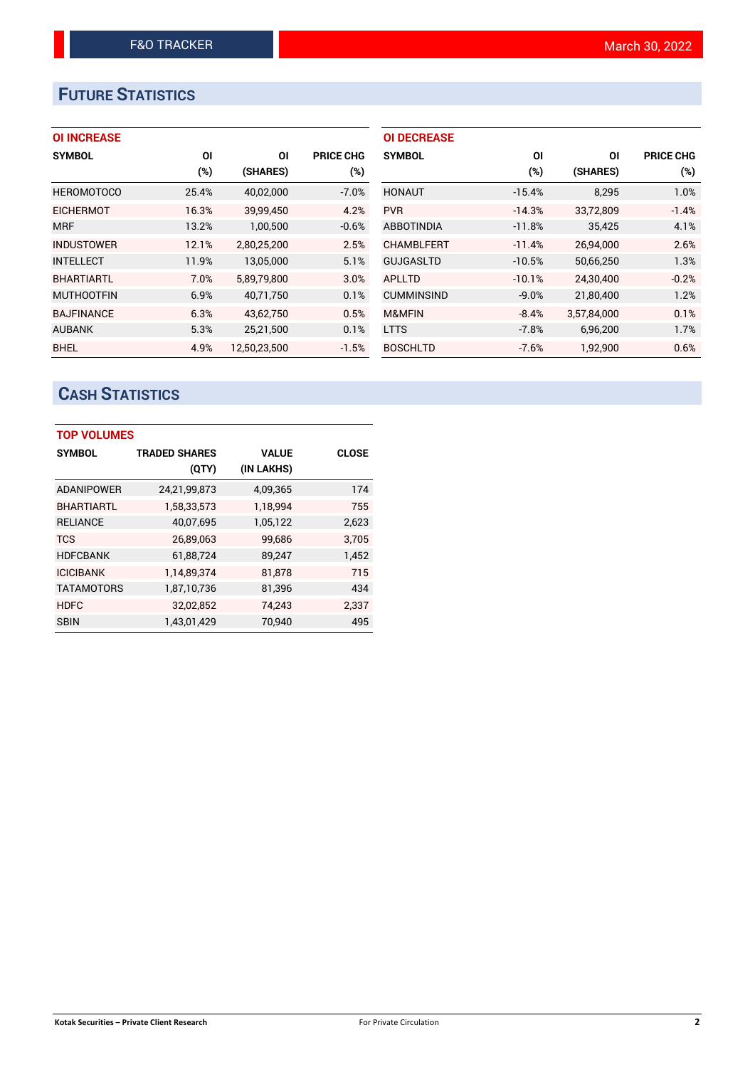# **FUTURE STATISTICS**

## **OI INCREASE**

| <b>SYMBOL</b>     | ΟI    | ΟI           | PRICE CHG |
|-------------------|-------|--------------|-----------|
|                   | (%)   | (SHARES)     | (%)       |
| <b>HEROMOTOCO</b> | 25.4% | 40,02,000    | $-7.0%$   |
| <b>EICHERMOT</b>  | 16.3% | 39,99,450    | 4.2%      |
| <b>MRF</b>        | 13.2% | 1,00,500     | $-0.6%$   |
| <b>INDUSTOWER</b> | 12.1% | 2,80,25,200  | 2.5%      |
| <b>INTELLECT</b>  | 11.9% | 13,05,000    | 5.1%      |
| <b>BHARTIARTL</b> | 7.0%  | 5,89,79,800  | 3.0%      |
| <b>MUTHOOTFIN</b> | 6.9%  | 40,71,750    | 0.1%      |
| <b>BAJFINANCE</b> | 6.3%  | 43,62,750    | 0.5%      |
| <b>AUBANK</b>     | 5.3%  | 25,21,500    | 0.1%      |
| <b>BHEL</b>       | 4.9%  | 12.50.23.500 | $-1.5%$   |

| <b>OI DECREASE</b> |          |             |                  |
|--------------------|----------|-------------|------------------|
| <b>SYMBOL</b>      | ΟI       | ΟI          | <b>PRICE CHG</b> |
|                    | $(\%)$   | (SHARES)    | (%)              |
| <b>HONAUT</b>      | $-15.4%$ | 8,295       | 1.0%             |
| <b>PVR</b>         | $-14.3%$ | 33,72,809   | $-1.4%$          |
| <b>ABBOTINDIA</b>  | $-11.8%$ | 35,425      | 4.1%             |
| <b>CHAMBLFERT</b>  | $-11.4%$ | 26.94.000   | 2.6%             |
| <b>GUJGASLTD</b>   | $-10.5%$ | 50,66,250   | 1.3%             |
| APLLTD             | $-10.1%$ | 24,30,400   | $-0.2%$          |
| <b>CUMMINSIND</b>  | $-9.0%$  | 21,80,400   | 1.2%             |
| <b>M&amp;MFIN</b>  | $-8.4%$  | 3,57,84,000 | 0.1%             |
| <b>LTTS</b>        | $-7.8%$  | 6,96,200    | 1.7%             |
| <b>BOSCHLTD</b>    | $-7.6%$  | 1,92,900    | 0.6%             |

# **CASH STATISTICS**

| <b>TOP VOLUMES</b> |                      |              |              |  |  |  |  |  |
|--------------------|----------------------|--------------|--------------|--|--|--|--|--|
| <b>SYMBOL</b>      | <b>TRADED SHARES</b> | <b>VALUE</b> | <b>CLOSE</b> |  |  |  |  |  |
|                    | (QTY)                | (IN LAKHS)   |              |  |  |  |  |  |
| <b>ADANIPOWER</b>  | 24,21,99,873         | 4,09,365     | 174          |  |  |  |  |  |
| <b>BHARTIARTL</b>  | 1,58,33,573          | 1,18,994     | 755          |  |  |  |  |  |
| <b>RELIANCE</b>    | 40,07,695            | 1,05,122     | 2,623        |  |  |  |  |  |
| <b>TCS</b>         | 26,89,063            | 99,686       | 3,705        |  |  |  |  |  |
| <b>HDFCBANK</b>    | 61,88,724            | 89,247       | 1,452        |  |  |  |  |  |
| <b>ICICIBANK</b>   | 1,14,89,374          | 81,878       | 715          |  |  |  |  |  |
| <b>TATAMOTORS</b>  | 1,87,10,736          | 81,396       | 434          |  |  |  |  |  |
| HDFC               | 32,02,852            | 74,243       | 2,337        |  |  |  |  |  |
| <b>SBIN</b>        | 1.43.01.429          | 70.940       | 495          |  |  |  |  |  |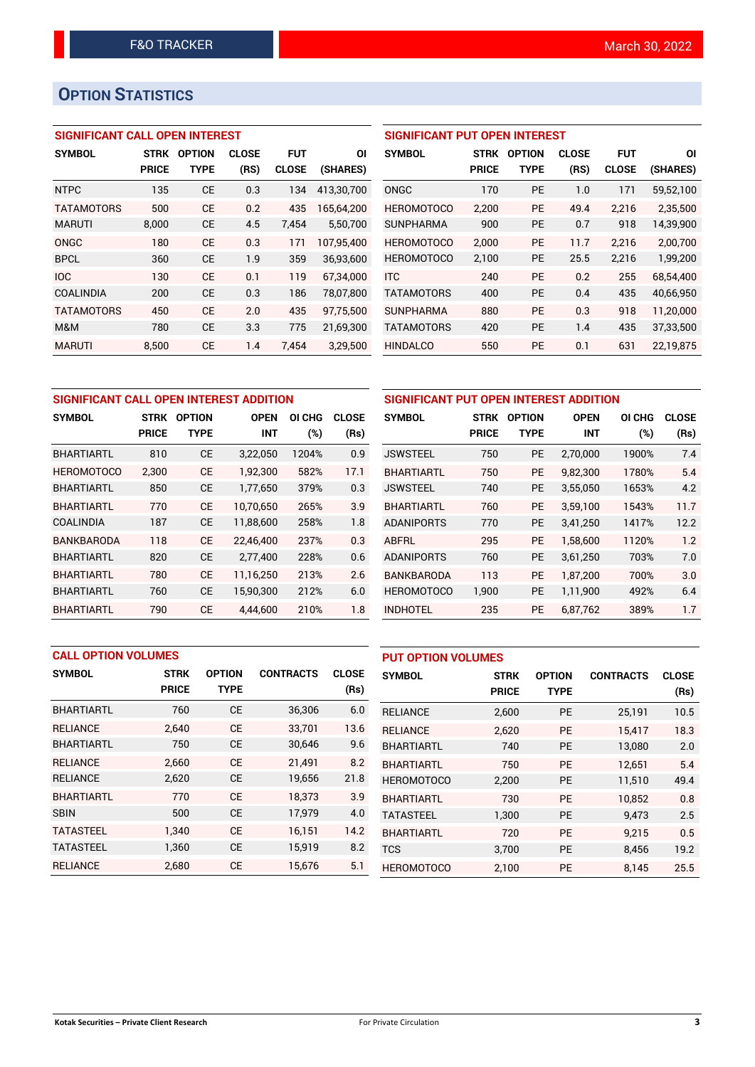## **OPTION STATISTICS**

## **SIGNIFICANT CALL OPEN INTEREST**

| <b>SYMBOL</b>     | <b>STRK</b>  | <b>OPTION</b> | <b>CLOSE</b> | <b>FUT</b>   | ΟI         |
|-------------------|--------------|---------------|--------------|--------------|------------|
|                   | <b>PRICE</b> | <b>TYPE</b>   | (RS)         | <b>CLOSE</b> | (SHARES)   |
| <b>NTPC</b>       | 135          | <b>CE</b>     | 0.3          | 134          | 413,30,700 |
| <b>TATAMOTORS</b> | 500          | CE            | 0.2          | 435          | 165.64.200 |
| <b>MARUTI</b>     | 8,000        | <b>CE</b>     | 4.5          | 7,454        | 5,50,700   |
| ONGC              | 180          | CE            | 0.3          | 171          | 107,95,400 |
| <b>BPCL</b>       | 360          | CE            | 1.9          | 359          | 36,93,600  |
| <b>IOC</b>        | 130          | CF            | 0.1          | 119          | 67.34.000  |
| <b>COALINDIA</b>  | 200          | <b>CE</b>     | 0.3          | 186          | 78,07,800  |
| <b>TATAMOTORS</b> | 450          | <b>CE</b>     | 2.0          | 435          | 97.75.500  |
| M&M               | 780          | <b>CE</b>     | 3.3          | 775          | 21.69.300  |
| <b>MARUTI</b>     | 8,500        | СE            | 1.4          | 7.454        | 3,29,500   |

## **SIGNIFICANT PUT OPEN INTEREST**

| <b>SYMBOL</b>     | <b>STRK</b><br><b>PRICE</b> | <b>OPTION</b><br>TYPE | <b>CLOSE</b><br>(RS) | <b>FUT</b><br><b>CLOSE</b> | ΟI<br>(SHARES) |
|-------------------|-----------------------------|-----------------------|----------------------|----------------------------|----------------|
| ONGC              | 170                         | PF                    | 1.0                  | 171                        | 59,52,100      |
| <b>HEROMOTOCO</b> | 2,200                       | <b>PE</b>             | 49.4                 | 2,216                      | 2,35,500       |
| <b>SUNPHARMA</b>  | 900                         | <b>PE</b>             | 0.7                  | 918                        | 14,39,900      |
| <b>HEROMOTOCO</b> | 2.000                       | PF                    | 11.7                 | 2,216                      | 2,00,700       |
| <b>HEROMOTOCO</b> | 2,100                       | PF                    | 25.5                 | 2.216                      | 1,99,200       |
| <b>ITC</b>        | 240                         | PF                    | 0.2                  | 255                        | 68,54,400      |
| <b>TATAMOTORS</b> | 400                         | PF                    | 0.4                  | 435                        | 40,66,950      |
| <b>SUNPHARMA</b>  | 880                         | PF                    | 0.3                  | 918                        | 11,20,000      |
| <b>TATAMOTORS</b> | 420                         | <b>PE</b>             | 1.4                  | 435                        | 37,33,500      |
| <b>HINDALCO</b>   | 550                         | <b>PE</b>             | 0.1                  | 631                        | 22,19,875      |

| SIGNIFICANT CALL OPEN INTEREST ADDITION |              |               |             |        |              |  |  |  |
|-----------------------------------------|--------------|---------------|-------------|--------|--------------|--|--|--|
| <b>SYMBOL</b>                           | <b>STRK</b>  | <b>OPTION</b> | <b>OPEN</b> | OI CHG | <b>CLOSE</b> |  |  |  |
|                                         | <b>PRICE</b> | TYPE          | <b>INT</b>  | (%)    | (Rs)         |  |  |  |
| <b>BHARTIARTL</b>                       | 810          | CE            | 3,22,050    | 1204%  | 0.9          |  |  |  |
| <b>HEROMOTOCO</b>                       | 2.300        | СE            | 1,92,300    | 582%   | 17.1         |  |  |  |
| <b>BHARTIARTL</b>                       | 850          | CE            | 1,77,650    | 379%   | 0.3          |  |  |  |
| <b>BHARTIARTL</b>                       | 770          | CE            | 10.70.650   | 265%   | 3.9          |  |  |  |
| COALINDIA                               | 187          | <b>CE</b>     | 11,88,600   | 258%   | 1.8          |  |  |  |
| <b>BANKBARODA</b>                       | 118          | <b>CE</b>     | 22,46,400   | 237%   | 0.3          |  |  |  |
| <b>BHARTIARTL</b>                       | 820          | CE            | 2,77,400    | 228%   | 0.6          |  |  |  |
| <b>BHARTIARTL</b>                       | 780          | CE            | 11,16,250   | 213%   | 2.6          |  |  |  |
| <b>BHARTIARTL</b>                       | 760          | CE            | 15,90,300   | 212%   | 6.0          |  |  |  |
| <b>BHARTIARTL</b>                       | 790          | CE            | 4.44.600    | 210%   | 1.8          |  |  |  |

| SIGNIFICANT PUT OPEN INTEREST ADDITION |              |               |             |        |              |  |  |  |
|----------------------------------------|--------------|---------------|-------------|--------|--------------|--|--|--|
| <b>SYMBOL</b>                          | <b>STRK</b>  | <b>OPTION</b> | <b>OPEN</b> | OI CHG | <b>CLOSE</b> |  |  |  |
|                                        | <b>PRICE</b> | <b>TYPE</b>   | INT         | (%)    | (Rs)         |  |  |  |
| <b>JSWSTEEL</b>                        | 750          | <b>PE</b>     | 2,70,000    | 1900%  | 7.4          |  |  |  |
| <b>BHARTIARTL</b>                      | 750          | <b>PE</b>     | 9,82,300    | 1780%  | 5.4          |  |  |  |
| <b>JSWSTEEL</b>                        | 740          | PE            | 3,55,050    | 1653%  | 4.2          |  |  |  |
| <b>BHARTIARTL</b>                      | 760          | <b>PE</b>     | 3,59,100    | 1543%  | 11.7         |  |  |  |
| <b>ADANIPORTS</b>                      | 770          | <b>PE</b>     | 3,41,250    | 1417%  | 12.2         |  |  |  |
| ABFRL                                  | 295          | PE            | 1,58,600    | 1120%  | 1.2          |  |  |  |
| <b>ADANIPORTS</b>                      | 760          | <b>PE</b>     | 3,61,250    | 703%   | 7.0          |  |  |  |
| <b>BANKBARODA</b>                      | 113          | <b>PE</b>     | 1,87,200    | 700%   | 3.0          |  |  |  |
| <b>HEROMOTOCO</b>                      | 1,900        | <b>PE</b>     | 1,11,900    | 492%   | 6.4          |  |  |  |
| INDHOTEL                               | 235          | <b>PE</b>     | 6,87,762    | 389%   | 1.7          |  |  |  |

| <b>CALL OPTION VOLUMES</b> |              |               |                  | <b>PUT OPTION VOLUMES</b> |                   |              |               |                  |              |
|----------------------------|--------------|---------------|------------------|---------------------------|-------------------|--------------|---------------|------------------|--------------|
| <b>SYMBOL</b>              | <b>STRK</b>  | <b>OPTION</b> | <b>CONTRACTS</b> | <b>CLOSE</b>              | <b>SYMBOL</b>     | <b>STRK</b>  | <b>OPTION</b> | <b>CONTRACTS</b> | <b>CLOSE</b> |
|                            | <b>PRICE</b> | <b>TYPE</b>   |                  | (Rs)                      |                   | <b>PRICE</b> | <b>TYPE</b>   |                  | (Rs)         |
| <b>BHARTIARTL</b>          | 760          | <b>CE</b>     | 36,306           | 6.0                       | <b>RELIANCE</b>   | 2,600        | <b>PE</b>     | 25,191           | 10.5         |
| <b>RELIANCE</b>            | 2.640        | <b>CE</b>     | 33,701           | 13.6                      | <b>RELIANCE</b>   | 2,620        | <b>PE</b>     | 15.417           | 18.3         |
| <b>BHARTIARTL</b>          | 750          | <b>CE</b>     | 30,646           | 9.6                       | <b>BHARTIARTL</b> | 740          | <b>PE</b>     | 13,080           | 2.0          |
| <b>RELIANCE</b>            | 2.660        | <b>CE</b>     | 21,491           | 8.2                       | <b>BHARTIARTL</b> | 750          | <b>PE</b>     | 12.651           | 5.4          |
| <b>RELIANCE</b>            | 2,620        | <b>CE</b>     | 19,656           | 21.8                      | <b>HEROMOTOCO</b> | 2,200        | <b>PE</b>     | 11,510           | 49.4         |
| <b>BHARTIARTL</b>          | 770          | <b>CE</b>     | 18.373           | 3.9                       | <b>BHARTIARTL</b> | 730          | <b>PE</b>     | 10.852           | 0.8          |
| <b>SBIN</b>                | 500          | <b>CE</b>     | 17,979           | 4.0                       | <b>TATASTEEL</b>  | 1,300        | <b>PE</b>     | 9,473            | 2.5          |
| <b>TATASTEEL</b>           | 1.340        | <b>CE</b>     | 16.151           | 14.2                      | <b>BHARTIARTL</b> | 720          | <b>PE</b>     | 9.215            | 0.5          |
| <b>TATASTEEL</b>           | 1.360        | <b>CE</b>     | 15,919           | 8.2                       | <b>TCS</b>        | 3.700        | <b>PE</b>     | 8,456            | 19.2         |
| <b>RELIANCE</b>            | 2.680        | <b>CE</b>     | 15,676           | 5.1                       | <b>HEROMOTOCO</b> | 2,100        | <b>PE</b>     | 8,145            | 25.5         |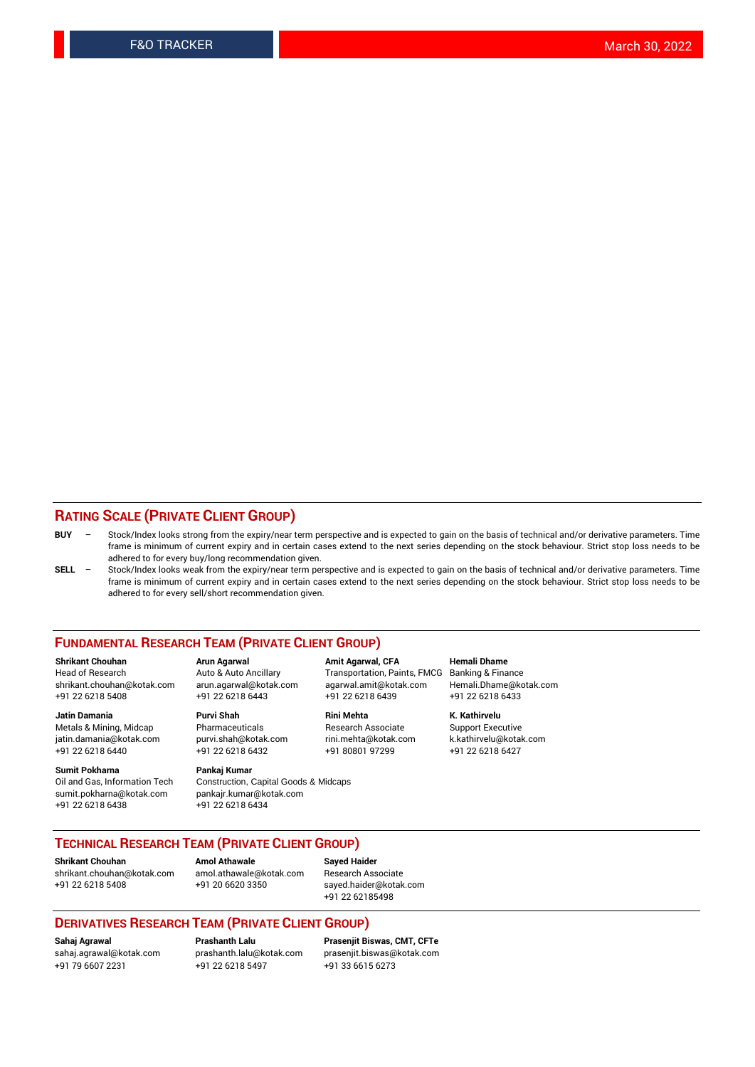## **RATING SCALE (PRIVATE CLIENT GROUP)**

- **BUY**  Stock/Index looks strong from the expiry/near term perspective and is expected to gain on the basis of technical and/or derivative parameters. Time frame is minimum of current expiry and in certain cases extend to the next series depending on the stock behaviour. Strict stop loss needs to be adhered to for every buy/long recommendation given.
- **SELL** Stock/Index looks weak from the expiry/near term perspective and is expected to gain on the basis of technical and/or derivative parameters. Time frame is minimum of current expiry and in certain cases extend to the next series depending on the stock behaviour. Strict stop loss needs to be adhered to for every sell/short recommendation given.

#### **FUNDAMENTAL RESEARCH TEAM (PRIVATE CLIENT GROUP)**

**Shrikant Chouhan Arun Agarwal Amit Agarwal, CFA Hemali Dhame** shrikant.chouhan@kotak.com arun.agarwal@kotak.com agarwal.amit@kotak.com Hemali.Dhame@kotak.com +91 22 6218 5408 +91 22 6218 6443 +91 22 6218 6439 +91 22 6218 6433

Metals & Mining, Midcap Pharmaceuticals Pharmaceuticals Research Associate Support Executive<br>
iatin.damania@kotak.com purvi.shah@kotak.com rini.mehta@kotak.com k.kathirvelu@kotak.com jatin.damania@kotak.com

**Sumit Pokharna** Pankaj Kumar<br>Oil and Gas, Information Tech Construction, sumit.pokharna@kotak.com pankajr.kumar@kotak.com +91 22 6218 6438 +91 22 6218 6434

**Jatin Damania Purvi Shah Rini Mehta K. Kathirvelu**

Construction, Capital Goods & Midcaps

Transportation, Paints, FMCG

+91 22 6218 6440 +91 22 6218 6432 +91 80801 97299 +91 22 6218 6427

## **TECHNICAL RESEARCH TEAM (PRIVATE CLIENT GROUP)**

**Shrikant Chouhan Amol Athawale Sayed Haider** [shrikant.chouhan@kotak.com](mailto:shrikant.chouhan@kotak.com) [amol.athawale@kotak.com](mailto:amol.athawale@kotak.com) Research Associate +91 22 6218 5408 +91 20 6620 3350 [sayed.haider@kotak.com](mailto:sayed.haider@kotak.com)

+91 22 62185498

### **DERIVATIVES RESEARCH TEAM (PRIVATE CLIENT GROUP)**

+91 79 6607 2231 +91 22 6218 5497 +91 33 6615 6273

**Sahaj Agrawal Prashanth Lalu Prasenjit Biswas, CMT, CFTe** [prasenjit.biswas@kotak.com](mailto:prasenjit.biswas@kotak.com)